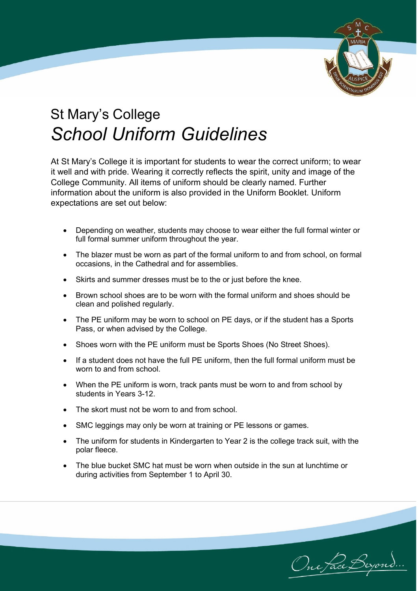

## St Mary's College *School Uniform Guidelines*

At St Mary's College it is important for students to wear the correct uniform; to wear it well and with pride. Wearing it correctly reflects the spirit, unity and image of the College Community. All items of uniform should be clearly named. Further information about the uniform is also provided in the Uniform Booklet. Uniform expectations are set out below:

- Depending on weather, students may choose to wear either the full formal winter or full formal summer uniform throughout the year.
- The blazer must be worn as part of the formal uniform to and from school, on formal occasions, in the Cathedral and for assemblies.
- Skirts and summer dresses must be to the or just before the knee.
- Brown school shoes are to be worn with the formal uniform and shoes should be clean and polished regularly.
- The PE uniform may be worn to school on PE days, or if the student has a Sports Pass, or when advised by the College.
- Shoes worn with the PE uniform must be Sports Shoes (No Street Shoes).
- If a student does not have the full PE uniform, then the full formal uniform must be worn to and from school.
- When the PE uniform is worn, track pants must be worn to and from school by students in Years 3-12.
- The skort must not be worn to and from school.
- SMC leggings may only be worn at training or PE lessons or games.
- The uniform for students in Kindergarten to Year 2 is the college track suit, with the polar fleece.
- The blue bucket SMC hat must be worn when outside in the sun at lunchtime or during activities from September 1 to April 30.